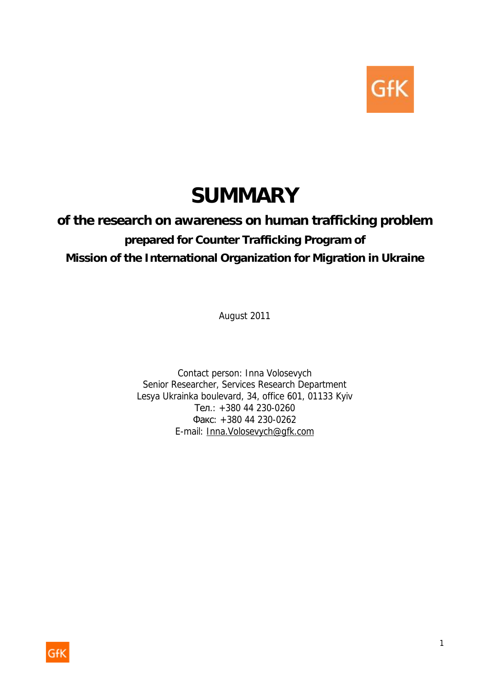

# **SUMMARY**

# **of the research on awareness on human trafficking problem**  *prepared for Counter Trafficking Program of Mission of the International Organization for Migration in Ukraine*

August 2011

Contact person: Inna Volosevych Senior Researcher, Services Research Department Lesya Ukrainka boulevard, 34, office 601, 01133 Kyiv Тел.: +380 44 230-0260 Факс: +380 44 230-0262 E-mail: [Inna.Volosevych@gfk.com](mailto:Inna.Volosevych@gfk.com)

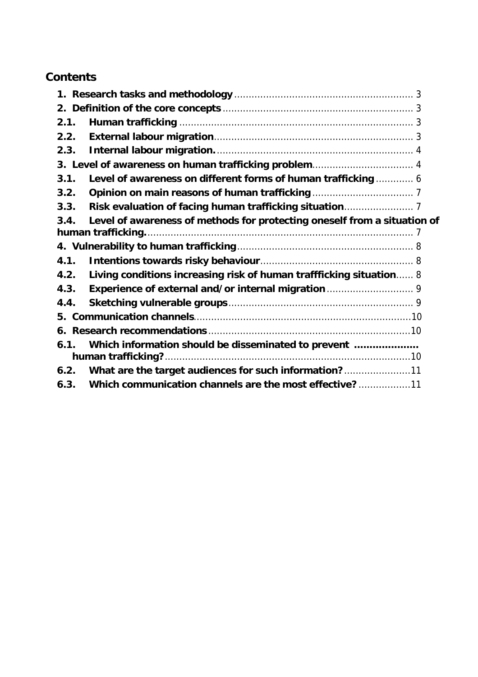# **Contents**

| 2.1.                                                 |                                                                          |  |  |  |  |  |
|------------------------------------------------------|--------------------------------------------------------------------------|--|--|--|--|--|
| 2.2.                                                 |                                                                          |  |  |  |  |  |
| 2.3.                                                 |                                                                          |  |  |  |  |  |
| 3. Level of awareness on human trafficking problem 4 |                                                                          |  |  |  |  |  |
| 3.1.                                                 | Level of awareness on different forms of human trafficking  6            |  |  |  |  |  |
| 3.2.                                                 |                                                                          |  |  |  |  |  |
| 3.3.                                                 |                                                                          |  |  |  |  |  |
| 3.4.                                                 | Level of awareness of methods for protecting oneself from a situation of |  |  |  |  |  |
|                                                      |                                                                          |  |  |  |  |  |
|                                                      |                                                                          |  |  |  |  |  |
| 4.1.                                                 |                                                                          |  |  |  |  |  |
| 4.2.                                                 | Living conditions increasing risk of human traffficking situation 8      |  |  |  |  |  |
| 4.3.                                                 |                                                                          |  |  |  |  |  |
| 4.4.                                                 |                                                                          |  |  |  |  |  |
|                                                      |                                                                          |  |  |  |  |  |
|                                                      |                                                                          |  |  |  |  |  |
| 6.1.                                                 | Which information should be disseminated to prevent                      |  |  |  |  |  |
|                                                      | human trafficking?                                                       |  |  |  |  |  |
| 6.2.                                                 | What are the target audiences for such information?11                    |  |  |  |  |  |
| 6.3.                                                 | Which communication channels are the most effective?11                   |  |  |  |  |  |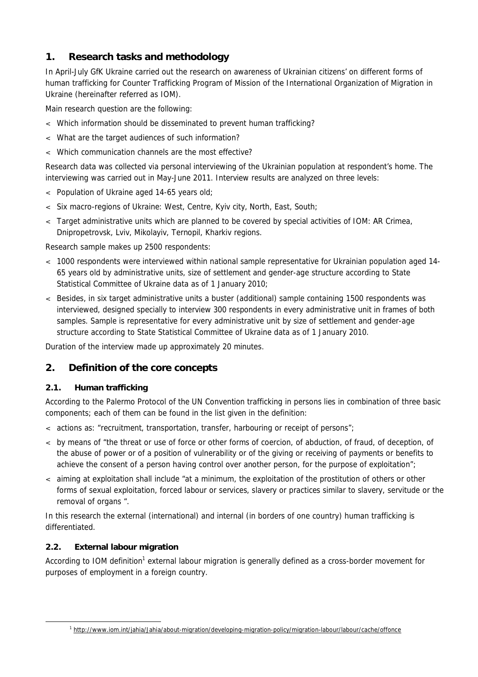# **1. Research tasks and methodology**

In April-July GfK Ukraine carried out the research on awareness of Ukrainian citizens' on different forms of human trafficking for Counter Trafficking Program of Mission of the International Organization of Migration in Ukraine (hereinafter referred as IOM).

Main research question are the following:

- < Which information should be disseminated to prevent human trafficking?
- < What are the target audiences of such information?
- < Which communication channels are the most effective?

Research data was collected via personal interviewing of the Ukrainian population at respondent's home. The interviewing was carried out in May-June 2011. Interview results are analyzed on three levels:

- < Population of Ukraine aged 14-65 years old;
- < Six macro-regions of Ukraine: West, Centre, Kyiv city, North, East, South;
- < Target administrative units which are planned to be covered by special activities of IOM: АR Crimea, Dnipropetrovsk, Lviv, Mikolayiv, Ternopil, Kharkiv regions.

Research sample makes up 2500 respondents:

- < 1000 respondents were interviewed within national sample representative for Ukrainian population aged 14- 65 years old by administrative units, size of settlement and gender-age structure according to State Statistical Committee of Ukraine data as of 1 January 2010;
- < Besides, in six target administrative units a buster (additional) sample containing 1500 respondents was interviewed, designed specially to interview 300 respondents in every administrative unit in frames of both samples. Sample is representative for every administrative unit by size of settlement and gender-age structure according to State Statistical Committee of Ukraine data as of 1 January 2010.

Duration of the interview made up approximately 20 minutes.

# **2. Definition of the core concepts**

#### **2.1. Human trafficking**

According to the Palermo Protocol of the UN Convention trafficking in persons lies in combination of three basic components; each of them can be found in the list given in the definition:

- < actions as: "recruitment, transportation, transfer, harbouring or receipt of persons";
- < by means of "the threat or use of force or other forms of coercion, of abduction, of fraud, of deception, of the abuse of power or of a position of vulnerability or of the giving or receiving of payments or benefits to achieve the consent of a person having control over another person, for the purpose of exploitation";
- < aiming at exploitation shall include "at a minimum, the exploitation of the prostitution of others or other forms of sexual exploitation, forced labour or services, slavery or practices similar to slavery, servitude or the removal of organs ".

In this research the external (international) and internal (in borders of one country) human trafficking is differentiated.

# **2.2. External labour migration**

-

According to IOM definition<sup>1</sup> external labour migration is generally defined as a cross-border movement for purposes of employment in a foreign country.

<sup>1</sup> <http://www.iom.int/jahia/Jahia/about-migration/developing-migration-policy/migration-labour/labour/cache/offonce>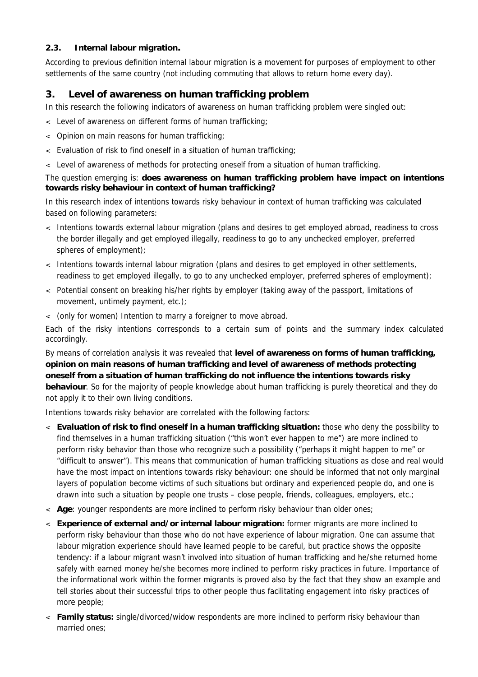#### **2.3. Internal labour migration.**

According to previous definition internal labour migration is a movement for purposes of employment to other settlements of the same country (not including commuting that allows to return home every day).

# **3. Level of awareness on human trafficking problem**

In this research the following indicators of awareness on human trafficking problem were singled out:

- < Level of awareness on different forms of human trafficking;
- < Opinion on main reasons for human trafficking;
- < Evaluation of risk to find oneself in a situation of human trafficking;
- < Level of awareness of methods for protecting oneself from a situation of human trafficking.

#### The question emerging is: **does awareness on human trafficking problem have impact on intentions towards risky behaviour in context of human trafficking?**

In this research index of intentions towards risky behaviour in context of human trafficking was calculated based on following parameters:

- < Intentions towards external labour migration (plans and desires to get employed abroad, readiness to cross the border illegally and get employed illegally, readiness to go to any unchecked employer, preferred spheres of employment);
- < Intentions towards internal labour migration (plans and desires to get employed in other settlements, readiness to get employed illegally, to go to any unchecked employer, preferred spheres of employment);
- < Potential consent on breaking his/her rights by employer (taking away of the passport, limitations of movement, untimely payment, etc.);
- < (only for women) Intention to marry a foreigner to move abroad.

Each of the risky intentions corresponds to a certain sum of points and the summary index calculated accordingly.

By means of correlation analysis it was revealed that **level of awareness on forms of human trafficking, opinion on main reasons of human trafficking and level of awareness of methods protecting oneself from a situation of human trafficking do not influence the intentions towards risky behaviour**. So for the majority of people knowledge about human trafficking is purely theoretical and they do not apply it to their own living conditions.

Intentions towards risky behavior are correlated with the following factors:

- < **Evaluation of risk to find oneself in a human trafficking situation:** those who deny the possibility to find themselves in a human trafficking situation ("this won't ever happen to me") are more inclined to perform risky behavior than those who recognize such a possibility ("perhaps it might happen to me" or "difficult to answer"). This means that communication of human trafficking situations as close and real would have the most impact on intentions towards risky behaviour: one should be informed that not only marginal layers of population become victims of such situations but ordinary and experienced people do, and one is drawn into such a situation by people one trusts – close people, friends, colleagues, employers, etc.;
- < **Age**: younger respondents are more inclined to perform risky behaviour than older ones;
- < **Experience of external and/or internal labour migration:** former migrants are more inclined to perform risky behaviour than those who do not have experience of labour migration. One can assume that labour migration experience should have learned people to be careful, but practice shows the opposite tendency: if a labour migrant wasn't involved into situation of human trafficking and he/she returned home safely with earned money he/she becomes more inclined to perform risky practices in future. Importance of the informational work within the former migrants is proved also by the fact that they show an example and tell stories about their successful trips to other people thus facilitating engagement into risky practices of more people;
- < **Family status:** single/divorced/widow respondents are more inclined to perform risky behaviour than married ones;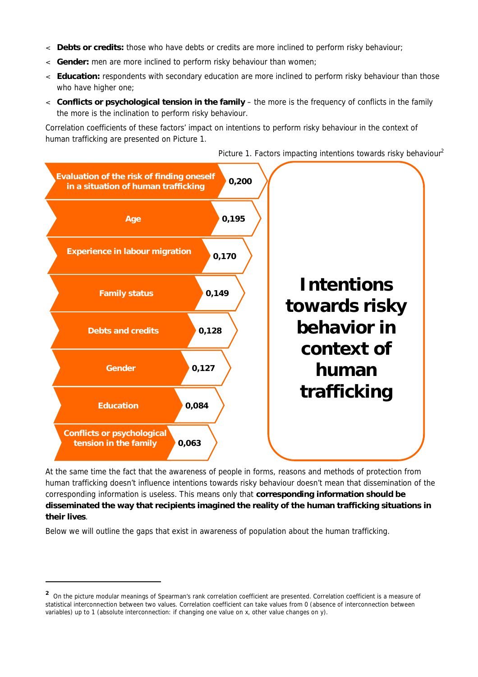- < **Debts or credits:** those who have debts or credits are more inclined to perform risky behaviour;
- < **Gender:** men are more inclined to perform risky behaviour than women;
- < **Education:** respondents with secondary education are more inclined to perform risky behaviour than those who have higher one;
- < **Conflicts or psychological tension in the family** the more is the frequency of conflicts in the family the more is the inclination to perform risky behaviour.

Correlation coefficients of these factors' impact on intentions to perform risky behaviour in the context of human trafficking are presented on Picture 1.



*Picture 1. Factors impacting intentions towards risky behaviour<sup>2</sup>*

At the same time the fact that the awareness of people in forms, reasons and methods of protection from human trafficking doesn't influence intentions towards risky behaviour doesn't mean that dissemination of the corresponding information is useless. This means only that **corresponding information should be disseminated the way that recipients imagined the reality of the human trafficking situations in their lives**.

Below we will outline the gaps that exist in awareness of population about the human trafficking.

-

<sup>&</sup>lt;sup>2</sup> On the picture modular meanings of Spearman's rank correlation coefficient are presented. Correlation coefficient is a measure of statistical interconnection between two values. Correlation coefficient can take values from 0 (absence of interconnection between variables) up to 1 (absolute interconnection: if changing one value on x, other value changes on y).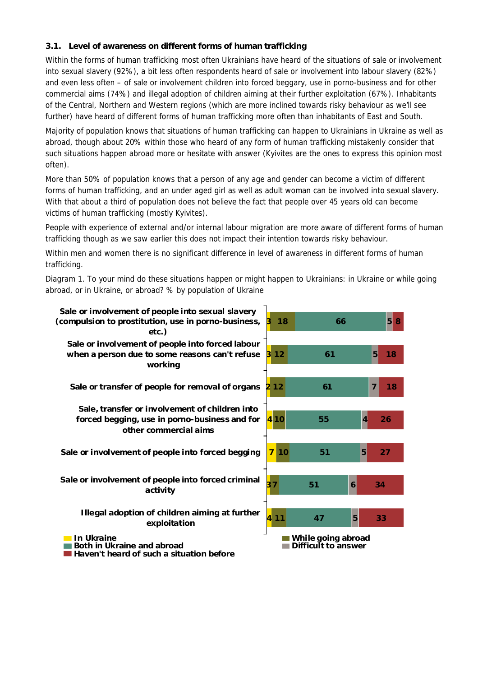#### **3.1. Level of awareness on different forms of human trafficking**

Within the forms of human trafficking most often Ukrainians have heard of the situations of sale or involvement into sexual slavery (92%), a bit less often respondents heard of sale or involvement into labour slavery (82%) and even less often – of sale or involvement children into forced beggary, use in porno-business and for other commercial aims (74%) and illegal adoption of children aiming at their further exploitation (67%). Inhabitants of the Central, Northern and Western regions (which are more inclined towards risky behaviour as we'll see further) have heard of different forms of human trafficking more often than inhabitants of East and South.

Majority of population knows that situations of human trafficking can happen to Ukrainians in Ukraine as well as abroad, though about 20% within those who heard of any form of human trafficking mistakenly consider that such situations happen abroad more or hesitate with answer (Kyivites are the ones to express this opinion most often).

More than 50% of population knows that a person of any age and gender can become a victim of different forms of human trafficking, and an under aged girl as well as adult woman can be involved into sexual slavery. With that about a third of population does not believe the fact that people over 45 years old can become victims of human trafficking (mostly Kyivites).

People with experience of external and/or internal labour migration are more aware of different forms of human trafficking though as we saw earlier this does not impact their intention towards risky behaviour.

Within men and women there is no significant difference in level of awareness in different forms of human trafficking.

*Diagram 1. To your mind do these situations happen or might happen to Ukrainians: in Ukraine or while going abroad, or in Ukraine, or abroad? % by population of Ukraine*

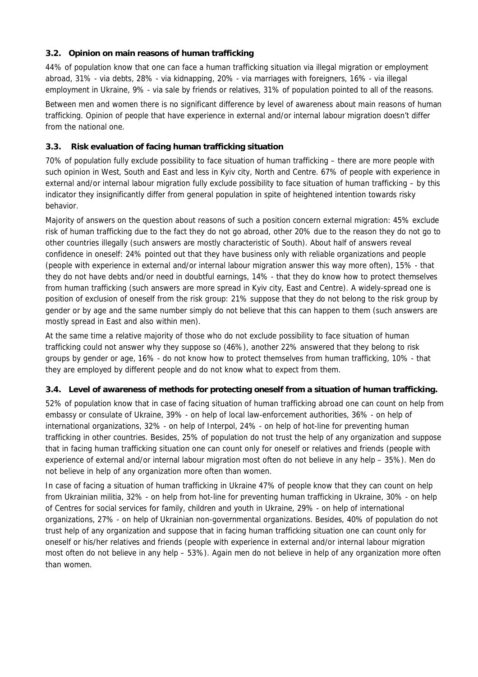#### **3.2. Opinion on main reasons of human trafficking**

44% of population know that one can face a human trafficking situation via illegal migration or employment abroad, 31% - via debts, 28% - via kidnapping, 20% - via marriages with foreigners, 16% - via illegal employment in Ukraine, 9% - via sale by friends or relatives, 31% of population pointed to all of the reasons.

Between men and women there is no significant difference by level of awareness about main reasons of human trafficking. Opinion of people that have experience in external and/or internal labour migration doesn't differ from the national one.

#### **3.3. Risk evaluation of facing human trafficking situation**

70% of population fully exclude possibility to face situation of human trafficking – there are more people with such opinion in West, South and East and less in Kyiv city, North and Centre. 67% of people with experience in external and/or internal labour migration fully exclude possibility to face situation of human trafficking – by this indicator they insignificantly differ from general population in spite of heightened intention towards risky behavior.

Majority of answers on the question about reasons of such a position concern external migration: 45% exclude risk of human trafficking due to the fact they do not go abroad, other 20% due to the reason they do not go to other countries illegally (such answers are mostly characteristic of South). About half of answers reveal confidence in oneself: 24% pointed out that they have business only with reliable organizations and people (people with experience in external and/or internal labour migration answer this way more often), 15% - that they do not have debts and/or need in doubtful earnings, 14% - that they do know how to protect themselves from human trafficking (such answers are more spread in Kyiv city, East and Centre). A widely-spread one is position of exclusion of oneself from the risk group: 21% suppose that they do not belong to the risk group by gender or by age and the same number simply do not believe that this can happen to them (such answers are mostly spread in East and also within men).

At the same time a relative majority of those who do not exclude possibility to face situation of human trafficking could not answer why they suppose so (46%), another 22% answered that they belong to risk groups by gender or age, 16% - do not know how to protect themselves from human trafficking, 10% - that they are employed by different people and do not know what to expect from them.

#### **3.4. Level of awareness of methods for protecting oneself from a situation of human trafficking.**

52% of population know that in case of facing situation of human trafficking abroad one can count on help from embassy or consulate of Ukraine, 39% - on help of local law-enforcement authorities, 36% - on help of international organizations, 32% - on help of Interpol, 24% - on help of hot-line for preventing human trafficking in other countries. Besides, 25% of population do not trust the help of any organization and suppose that in facing human trafficking situation one can count only for oneself or relatives and friends (people with experience of external and/or internal labour migration most often do not believe in any help – 35%). Men do not believe in help of any organization more often than women.

In case of facing a situation of human trafficking in Ukraine 47% of people know that they can count on help from Ukrainian militia, 32% - on help from hot-line for preventing human trafficking in Ukraine, 30% - on help of Centres for social services for family, children and youth in Ukraine, 29% - on help of international organizations, 27% - on help of Ukrainian non-governmental organizations. Besides, 40% of population do not trust help of any organization and suppose that in facing human trafficking situation one can count only for oneself or his/her relatives and friends (people with experience in external and/or internal labour migration most often do not believe in any help – 53%). Again men do not believe in help of any organization more often than women.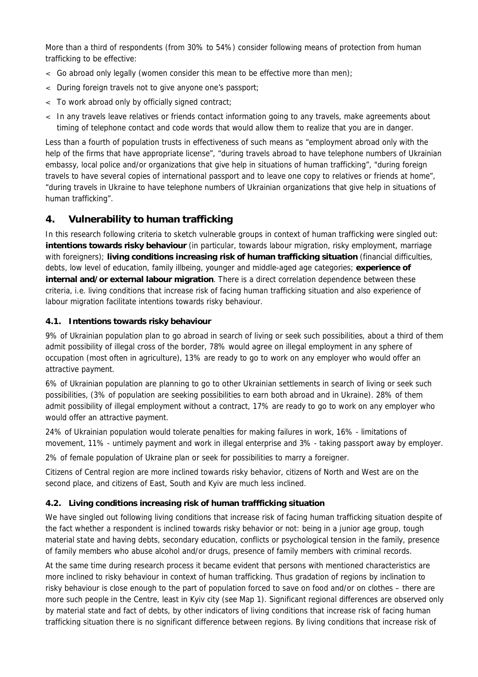More than a third of respondents (from 30% to 54%) consider following means of protection from human trafficking to be effective:

- < Go abroad only legally (women consider this mean to be effective more than men);
- < During foreign travels not to give anyone one's passport;
- < To work abroad only by officially signed contract;
- < In any travels leave relatives or friends contact information going to any travels, make agreements about timing of telephone contact and code words that would allow them to realize that you are in danger.

Less than a fourth of population trusts in effectiveness of such means as "employment abroad only with the help of the firms that have appropriate license", "during travels abroad to have telephone numbers of Ukrainian embassy, local police and/or organizations that give help in situations of human trafficking", "during foreign travels to have several copies of international passport and to leave one copy to relatives or friends at home", "during travels in Ukraine to have telephone numbers of Ukrainian organizations that give help in situations of human trafficking".

# **4. Vulnerability to human trafficking**

In this research following criteria to sketch vulnerable groups in context of human trafficking were singled out: **intentions towards risky behaviour** (in particular, towards labour migration, risky employment, marriage with foreigners); **living conditions increasing risk of human trafficking situation** (financial difficulties, debts, low level of education, family illbeing, younger and middle-aged age categories; **experience of internal and/or external labour migration**. There is a direct correlation dependence between these criteria, i.e. living conditions that increase risk of facing human trafficking situation and also experience of labour migration facilitate intentions towards risky behaviour.

#### **4.1. Intentions towards risky behaviour**

9% of Ukrainian population plan to go abroad in search of living or seek such possibilities, about a third of them admit possibility of illegal cross of the border, 78% would agree on illegal employment in any sphere of occupation (most often in agriculture), 13% are ready to go to work on any employer who would offer an attractive payment.

6% of Ukrainian population are planning to go to other Ukrainian settlements in search of living or seek such possibilities, (3% of population are seeking possibilities to earn both abroad and in Ukraine). 28% of them admit possibility of illegal employment without a contract, 17% are ready to go to work on any employer who would offer an attractive payment.

24% of Ukrainian population would tolerate penalties for making failures in work, 16% - limitations of movement, 11% - untimely payment and work in illegal enterprise and 3% - taking passport away by employer.

2% of female population of Ukraine plan or seek for possibilities to marry a foreigner.

Citizens of Central region are more inclined towards risky behavior, citizens of North and West are on the second place, and citizens of East, South and Kyiv are much less inclined.

# **4.2. Living conditions increasing risk of human traffficking situation**

We have singled out following living conditions that increase risk of facing human trafficking situation despite of the fact whether a respondent is inclined towards risky behavior or not: being in a junior age group, tough material state and having debts, secondary education, conflicts or psychological tension in the family, presence of family members who abuse alcohol and/or drugs, presence of family members with criminal records.

At the same time during research process it became evident that persons with mentioned characteristics are more inclined to risky behaviour in context of human trafficking. Thus gradation of regions by inclination to risky behaviour is close enough to the part of population forced to save on food and/or on clothes – there are more such people in the Centre, least in Kyiv city (see Map 1). Significant regional differences are observed only by material state and fact of debts, by other indicators of living conditions that increase risk of facing human trafficking situation there is no significant difference between regions. By living conditions that increase risk of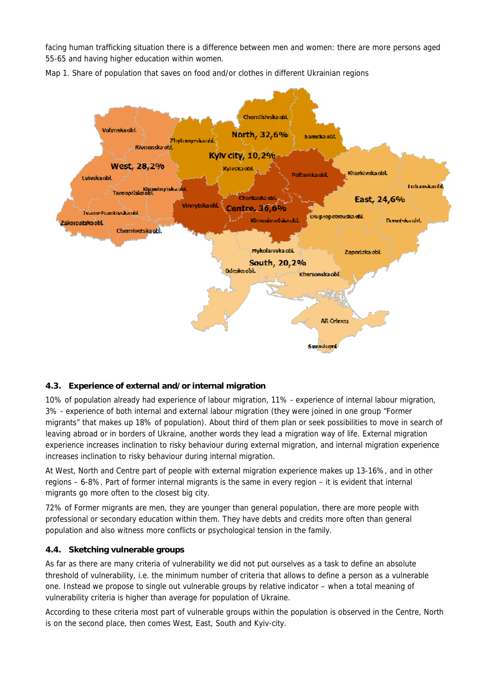facing human trafficking situation there is a difference between men and women: there are more persons aged 55-65 and having higher education within women.



*Map 1. Share of population that saves on food and/or clothes in different Ukrainian regions* 

# **4.3. Experience of external and/or internal migration**

10% of population already had experience of labour migration, 11% - experience of internal labour migration, 3% - experience of both internal and external labour migration (they were joined in one group "Former migrants" that makes up 18% of population). About third of them plan or seek possibilities to move in search of leaving abroad or in borders of Ukraine, another words they lead a migration way of life. External migration experience increases inclination to risky behaviour during external migration, and internal migration experience increases inclination to risky behaviour during internal migration.

At West, North and Centre part of people with external migration experience makes up 13-16%, and in other regions – 6-8%. Part of former internal migrants is the same in every region – it is evident that internal migrants go more often to the closest big city.

72% of Former migrants are men, they are younger than general population, there are more people with professional or secondary education within them. They have debts and credits more often than general population and also witness more conflicts or psychological tension in the family.

#### **4.4. Sketching vulnerable groups**

As far as there are many criteria of vulnerability we did not put ourselves as a task to define an absolute threshold of vulnerability, i.e. the minimum number of criteria that allows to define a person as a vulnerable one. Instead we propose to single out vulnerable groups by relative indicator – when a total meaning of vulnerability criteria is higher than average for population of Ukraine.

According to these criteria most part of vulnerable groups within the population is observed in the Centre, North is on the second place, then comes West, East, South and Kyiv-city.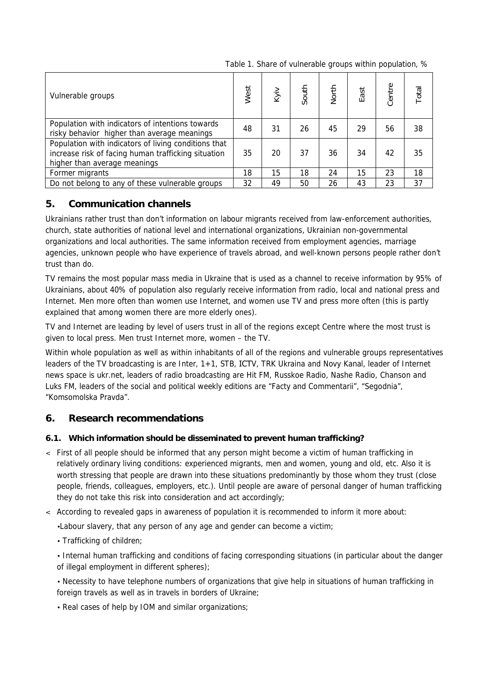*Table 1. Share of vulnerable groups within population, %*

| Vulnerable groups                                                                                                                           | West | Kyiv | South | <b>North</b> | East | Centre | Total |
|---------------------------------------------------------------------------------------------------------------------------------------------|------|------|-------|--------------|------|--------|-------|
| Population with indicators of intentions towards<br>risky behavior higher than average meanings                                             |      | 31   | 26    | 45           | 29   | 56     | 38    |
| Population with indicators of living conditions that<br>increase risk of facing human trafficking situation<br>higher than average meanings |      | 20   | 37    | 36           | 34   | 42     | 35    |
| Former migrants                                                                                                                             |      | 15   | 18    | 24           | 15   | 23     | 18    |
| Do not belong to any of these vulnerable groups                                                                                             |      | 49   | 50    | 26           | 43   | 23     | 37    |

# **5. Communication channels**

Ukrainians rather trust than don't information on labour migrants received from law-enforcement authorities, church, state authorities of national level and international organizations, Ukrainian non-governmental organizations and local authorities. The same information received from employment agencies, marriage agencies, unknown people who have experience of travels abroad, and well-known persons people rather don't trust than do.

TV remains the most popular mass media in Ukraine that is used as a channel to receive information by 95% of Ukrainians, about 40% of population also regularly receive information from radio, local and national press and Internet. Men more often than women use Internet, and women use TV and press more often (this is partly explained that among women there are more elderly ones).

TV and Internet are leading by level of users trust in all of the regions except Centre where the most trust is given to local press. Men trust Internet more, women – the TV.

Within whole population as well as within inhabitants of all of the regions and vulnerable groups representatives leaders of the TV broadcasting is are Inter, 1+1, STB, ІСТV, TRK Ukraina and Novy Kanal, leader of Internet news space is ukr.net, leaders of radio broadcasting are Hit FM, Russkoe Radio, Nashe Radio, Chanson and Luks FM, leaders of the social and political weekly editions are "Facty and Commentarii", "Segodnia", "Komsomolska Pravda".

# **6. Research recommendations**

# **6.1. Which information should be disseminated to prevent human trafficking?**

- < First of all people should be informed that any person might become a victim of human trafficking in relatively ordinary living conditions: experienced migrants, men and women, young and old, etc. Also it is worth stressing that people are drawn into these situations predominantly by those whom they trust (close people, friends, colleagues, employers, etc.). Until people are aware of personal danger of human trafficking they do not take this risk into consideration and act accordingly;
- < According to revealed gaps in awareness of population it is recommended to inform it more about:

•Labour slavery, that any person of any age and gender can become a victim;

• Trafficking of children;

• Internal human trafficking and conditions of facing corresponding situations (in particular about the danger of illegal employment in different spheres);

• Necessity to have telephone numbers of organizations that give help in situations of human trafficking in foreign travels as well as in travels in borders of Ukraine;

• Real cases of help by IOM and similar organizations;